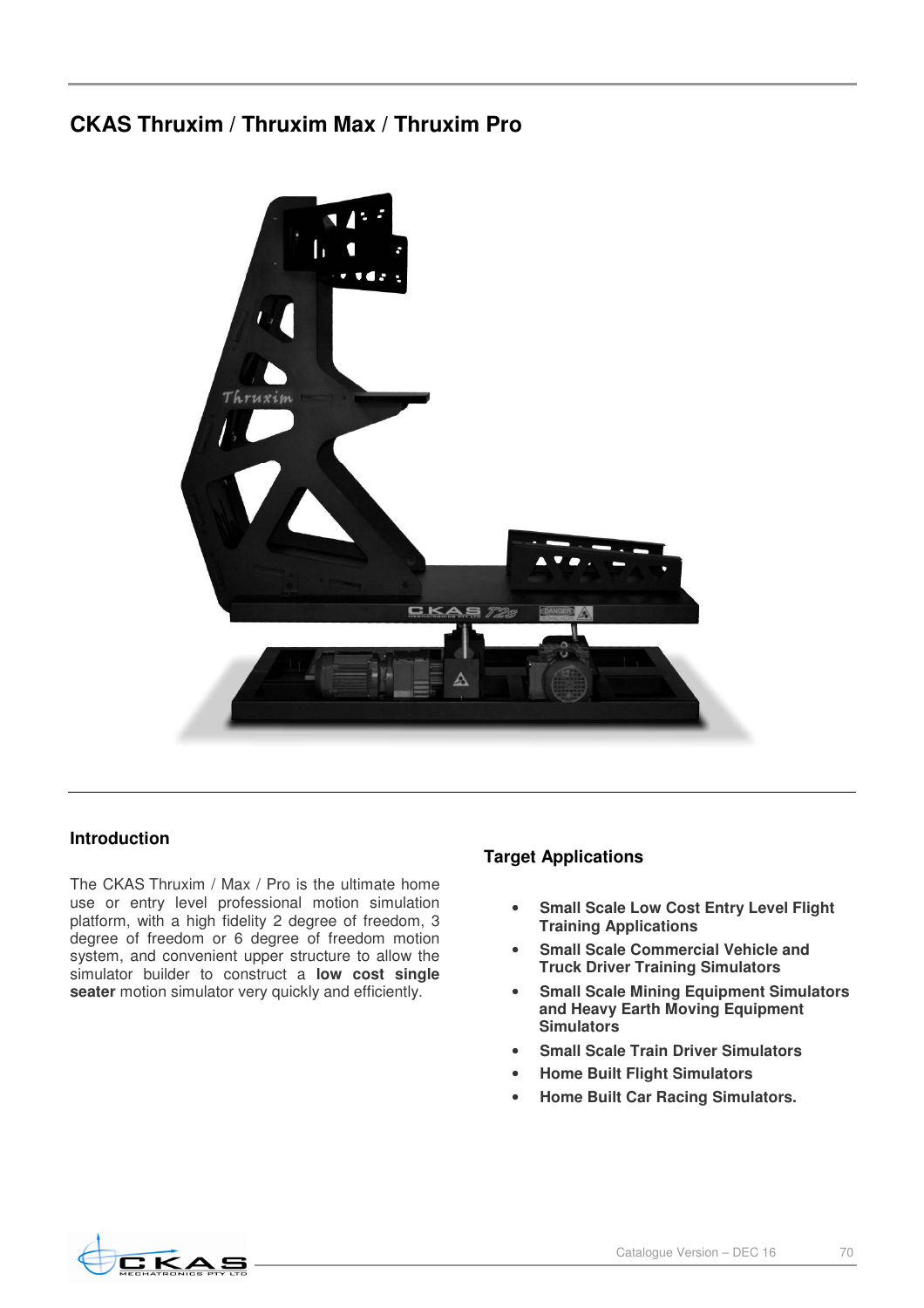# **CKAS Thruxim / Thruxim Max / Thruxim Pro**



## **Introduction**

The CKAS Thruxim / Max / Pro is the ultimate home use or entry level professional motion simulation platform, with a high fidelity 2 degree of freedom, 3 degree of freedom or 6 degree of freedom motion system, and convenient upper structure to allow the simulator builder to construct a **low cost single**  seater motion simulator very quickly and efficiently.

## **Target Applications**

- **Small Scale Low Cost Entry Level Flight Training Applications**
- **Small Scale Commercial Vehicle and Truck Driver Training Simulators**
- **Small Scale Mining Equipment Simulators and Heavy Earth Moving Equipment Simulators**
- **Small Scale Train Driver Simulators**
- **Home Built Flight Simulators**
- **Home Built Car Racing Simulators.**

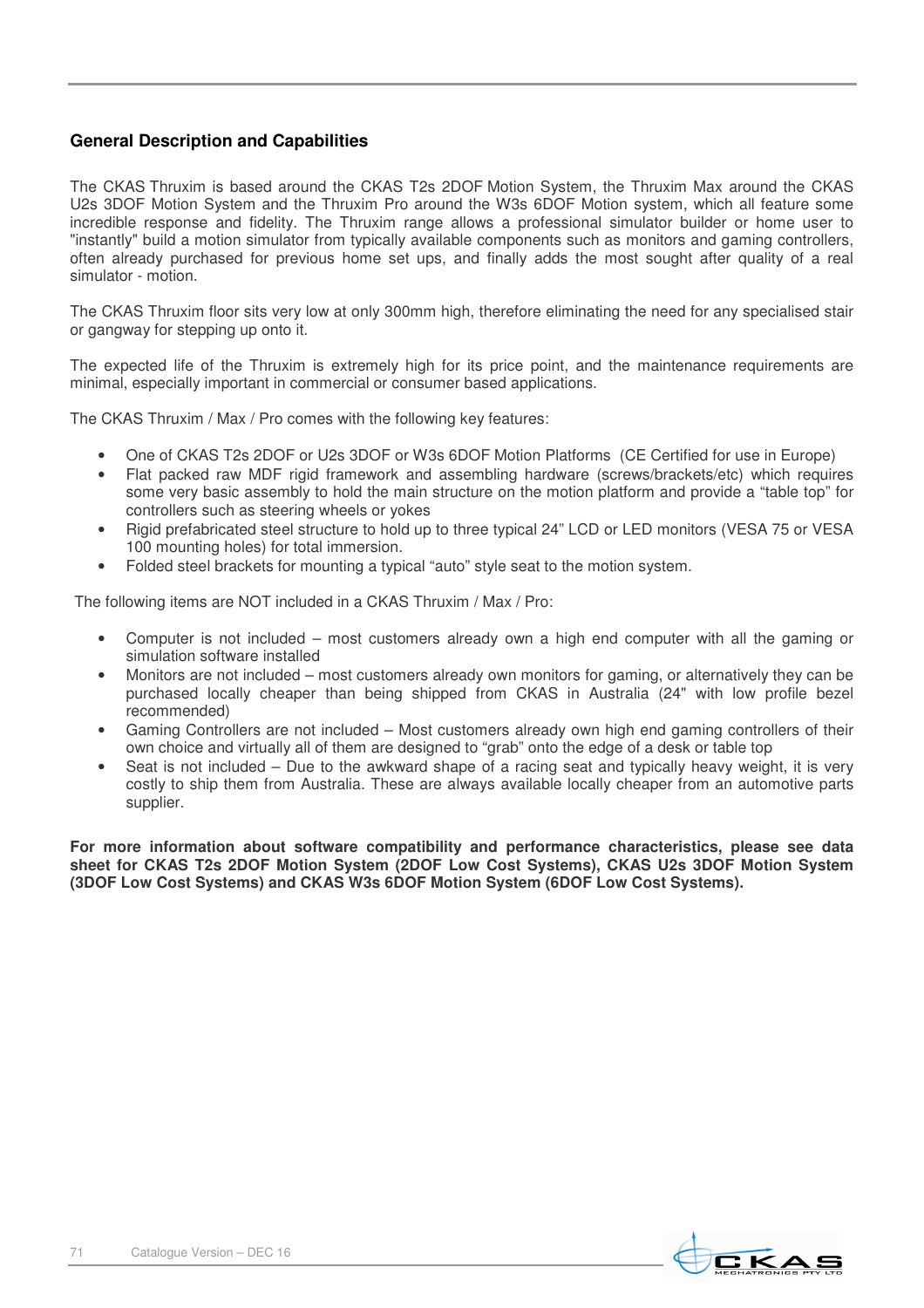## **General Description and Capabilities**

The CKAS Thruxim is based around the CKAS T2s 2DOF Motion System, the Thruxim Max around the CKAS U2s 3DOF Motion System and the Thruxim Pro around the W3s 6DOF Motion system, which all feature some incredible response and fidelity. The Thruxim range allows a professional simulator builder or home user to "instantly" build a motion simulator from typically available components such as monitors and gaming controllers, often already purchased for previous home set ups, and finally adds the most sought after quality of a real simulator - motion.

The CKAS Thruxim floor sits very low at only 300mm high, therefore eliminating the need for any specialised stair or gangway for stepping up onto it.

The expected life of the Thruxim is extremely high for its price point, and the maintenance requirements are minimal, especially important in commercial or consumer based applications.

The CKAS Thruxim / Max / Pro comes with the following key features:

- One of CKAS T2s 2DOF or U2s 3DOF or W3s 6DOF Motion Platforms (CE Certified for use in Europe)
- Flat packed raw MDF rigid framework and assembling hardware (screws/brackets/etc) which requires some very basic assembly to hold the main structure on the motion platform and provide a "table top" for controllers such as steering wheels or yokes
- Rigid prefabricated steel structure to hold up to three typical 24" LCD or LED monitors (VESA 75 or VESA 100 mounting holes) for total immersion.
- Folded steel brackets for mounting a typical "auto" style seat to the motion system.

The following items are NOT included in a CKAS Thruxim / Max / Pro:

- Computer is not included most customers already own a high end computer with all the gaming or simulation software installed
- Monitors are not included most customers already own monitors for gaming, or alternatively they can be purchased locally cheaper than being shipped from CKAS in Australia (24" with low profile bezel recommended)
- Gaming Controllers are not included Most customers already own high end gaming controllers of their own choice and virtually all of them are designed to "grab" onto the edge of a desk or table top
- Seat is not included Due to the awkward shape of a racing seat and typically heavy weight, it is very costly to ship them from Australia. These are always available locally cheaper from an automotive parts supplier.

**For more information about software compatibility and performance characteristics, please see data sheet for CKAS T2s 2DOF Motion System (2DOF Low Cost Systems), CKAS U2s 3DOF Motion System (3DOF Low Cost Systems) and CKAS W3s 6DOF Motion System (6DOF Low Cost Systems).** 

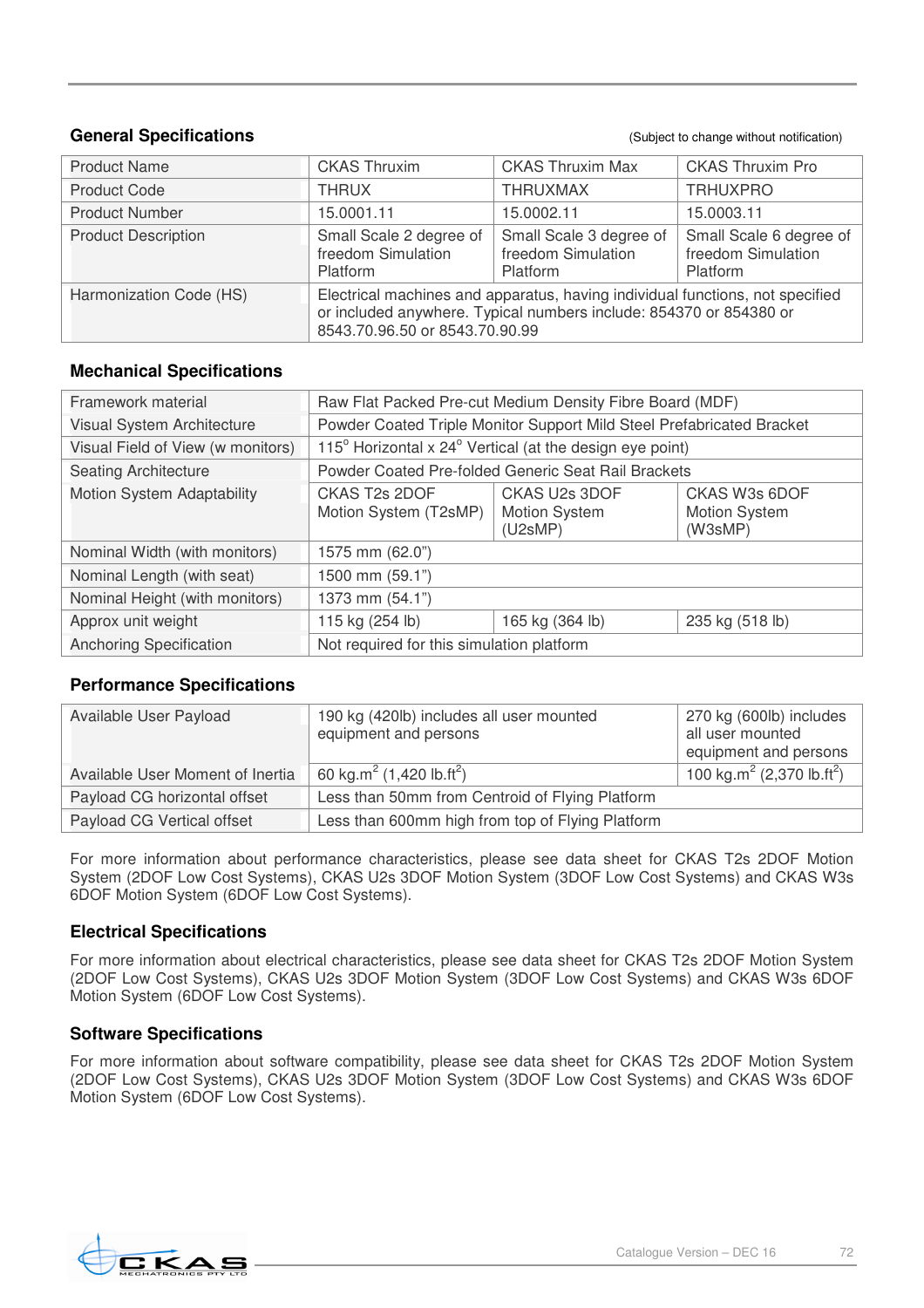## **General Specifications General Specification General** Specification **CENET CONSISTENT CONSISTENT CONSISTENT**

| <b>Product Name</b>        | <b>CKAS Thruxim</b>                                                                                                                                                                   | <b>CKAS Thruxim Max</b>                                          | <b>CKAS Thruxim Pro</b>                                   |
|----------------------------|---------------------------------------------------------------------------------------------------------------------------------------------------------------------------------------|------------------------------------------------------------------|-----------------------------------------------------------|
| <b>Product Code</b>        | <b>THRUX</b>                                                                                                                                                                          | <b>THRUXMAX</b>                                                  | <b>TRHUXPRO</b>                                           |
| <b>Product Number</b>      | 15.0001.11                                                                                                                                                                            | 15.0002.11                                                       | 15.0003.11                                                |
| <b>Product Description</b> | Small Scale 2 degree of<br>freedom Simulation<br>Platform                                                                                                                             | Small Scale 3 degree of<br>freedom Simulation<br><b>Platform</b> | Small Scale 6 degree of<br>freedom Simulation<br>Platform |
| Harmonization Code (HS)    | Electrical machines and apparatus, having individual functions, not specified<br>or included anywhere. Typical numbers include: 854370 or 854380 or<br>8543.70.96.50 or 8543.70.90.99 |                                                                  |                                                           |

## **Mechanical Specifications**

| Framework material                | Raw Flat Packed Pre-cut Medium Density Fibre Board (MDF)              |                                                  |                                           |
|-----------------------------------|-----------------------------------------------------------------------|--------------------------------------------------|-------------------------------------------|
| Visual System Architecture        | Powder Coated Triple Monitor Support Mild Steel Prefabricated Bracket |                                                  |                                           |
| Visual Field of View (w monitors) | 115° Horizontal x 24° Vertical (at the design eye point)              |                                                  |                                           |
| <b>Seating Architecture</b>       | Powder Coated Pre-folded Generic Seat Rail Brackets                   |                                                  |                                           |
| Motion System Adaptability        | CKAS T <sub>2s</sub> 2DOF<br>Motion System (T2sMP)                    | CKAS U2s 3DOF<br><b>Motion System</b><br>(U2sMP) | CKAS W3s 6DOF<br>Motion System<br>(W3sMP) |
| Nominal Width (with monitors)     | 1575 mm (62.0")                                                       |                                                  |                                           |
| Nominal Length (with seat)        | 1500 mm (59.1")                                                       |                                                  |                                           |
| Nominal Height (with monitors)    | 1373 mm (54.1")                                                       |                                                  |                                           |
| Approx unit weight                | 115 kg (254 lb)                                                       | 165 kg (364 lb)                                  | 235 kg (518 lb)                           |
| <b>Anchoring Specification</b>    | Not required for this simulation platform                             |                                                  |                                           |

## **Performance Specifications**

| Available User Payload           | 190 kg (420lb) includes all user mounted<br>equipment and persons | 270 kg (600lb) includes<br>all user mounted<br>equipment and persons |
|----------------------------------|-------------------------------------------------------------------|----------------------------------------------------------------------|
| Available User Moment of Inertia | 60 kg.m <sup>2</sup> (1,420 lb.ft <sup>2</sup> )                  | 100 kg.m <sup>2</sup> (2,370 lb.ft <sup>2</sup> )                    |
| Payload CG horizontal offset     | Less than 50mm from Centroid of Flying Platform                   |                                                                      |
| Payload CG Vertical offset       | Less than 600mm high from top of Flying Platform                  |                                                                      |

For more information about performance characteristics, please see data sheet for CKAS T2s 2DOF Motion System (2DOF Low Cost Systems), CKAS U2s 3DOF Motion System (3DOF Low Cost Systems) and CKAS W3s 6DOF Motion System (6DOF Low Cost Systems).

## **Electrical Specifications**

For more information about electrical characteristics, please see data sheet for CKAS T2s 2DOF Motion System (2DOF Low Cost Systems), CKAS U2s 3DOF Motion System (3DOF Low Cost Systems) and CKAS W3s 6DOF Motion System (6DOF Low Cost Systems).

## **Software Specifications**

For more information about software compatibility, please see data sheet for CKAS T2s 2DOF Motion System (2DOF Low Cost Systems), CKAS U2s 3DOF Motion System (3DOF Low Cost Systems) and CKAS W3s 6DOF Motion System (6DOF Low Cost Systems).